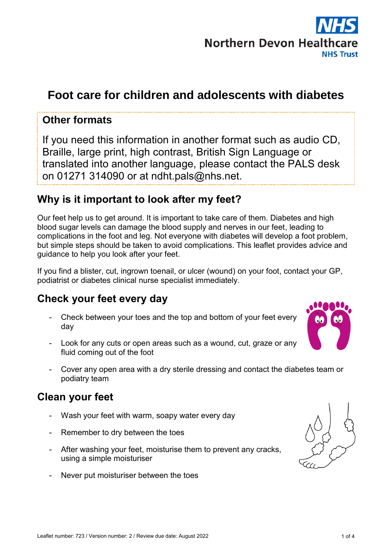

# **Foot care for children and adolescents with diabetes**

### **Other formats**

If you need this information in another format such as audio CD, Braille, large print, high contrast, British Sign Language or translated into another language, please contact the PALS desk on 01271 314090 or at ndht.pals@nhs.net.

# **Why is it important to look after my feet?**

Our feet help us to get around. It is important to take care of them. Diabetes and high blood sugar levels can damage the blood supply and nerves in our feet, leading to complications in the foot and leg. Not everyone with diabetes will develop a foot problem, but simple steps should be taken to avoid complications. This leaflet provides advice and guidance to help you look after your feet.

If you find a blister, cut, ingrown toenail, or ulcer (wound) on your foot, contact your GP, podiatrist or diabetes clinical nurse specialist immediately.

## **Check your feet every day**

- Check between your toes and the top and bottom of your feet every day
- Look for any cuts or open areas such as a wound, cut, graze or any fluid coming out of the foot
- Cover any open area with a dry sterile dressing and contact the diabetes team or podiatry team

## **Clean your feet**

- Wash your feet with warm, soapy water every day
- Remember to dry between the toes
- After washing your feet, moisturise them to prevent any cracks, using a simple moisturiser
- Never put moisturiser between the toes

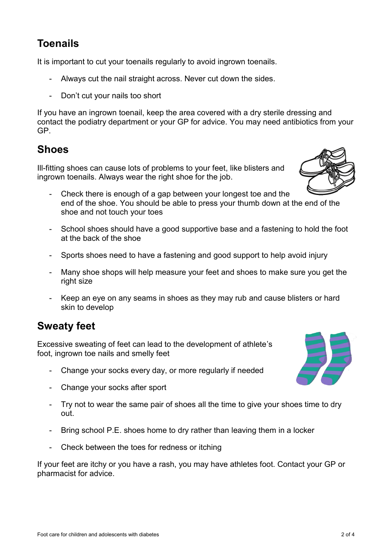# **Toenails**

It is important to cut your toenails regularly to avoid ingrown toenails.

- Always cut the nail straight across. Never cut down the sides.
- Don't cut your nails too short

If you have an ingrown toenail, keep the area covered with a dry sterile dressing and contact the podiatry department or your GP for advice. You may need antibiotics from your GP.

## **Shoes**

Ill-fitting shoes can cause lots of problems to your feet, like blisters and ingrown toenails. Always wear the right shoe for the job.

- Check there is enough of a gap between your longest toe and the end of the shoe. You should be able to press your thumb down at the end of the shoe and not touch your toes
- School shoes should have a good supportive base and a fastening to hold the foot at the back of the shoe
- Sports shoes need to have a fastening and good support to help avoid injury
- Many shoe shops will help measure your feet and shoes to make sure you get the right size
- Keep an eye on any seams in shoes as they may rub and cause blisters or hard skin to develop

# **Sweaty feet**

Excessive sweating of feet can lead to the development of athlete's foot, ingrown toe nails and smelly feet

- Change your socks every day, or more regularly if needed
- Change your socks after sport
- Try not to wear the same pair of shoes all the time to give your shoes time to dry out.
- Bring school P.E. shoes home to dry rather than leaving them in a locker
- Check between the toes for redness or itching

If your feet are itchy or you have a rash, you may have athletes foot. Contact your GP or pharmacist for advice.



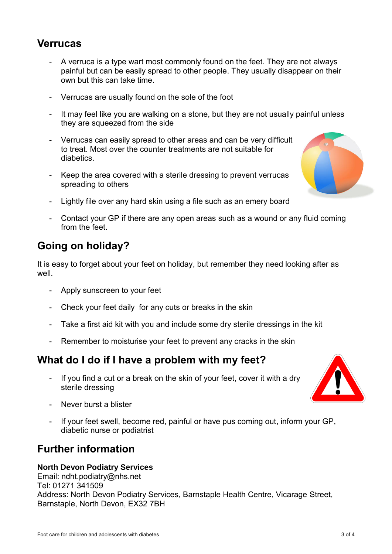### **Verrucas**

- A verruca is a type wart most commonly found on the feet. They are not always painful but can be easily spread to other people. They usually disappear on their own but this can take time.
- Verrucas are usually found on the sole of the foot
- It may feel like you are walking on a stone, but they are not usually painful unless they are squeezed from the side
- Verrucas can easily spread to other areas and can be very difficult to treat. Most over the counter treatments are not suitable for diabetics.
- Keep the area covered with a sterile dressing to prevent verrucas spreading to others
- Lightly file over any hard skin using a file such as an emery board
- Contact your GP if there are any open areas such as a wound or any fluid coming from the feet.

# **Going on holiday?**

It is easy to forget about your feet on holiday, but remember they need looking after as well.

- Apply sunscreen to your feet
- Check your feet daily for any cuts or breaks in the skin
- Take a first aid kit with you and include some dry sterile dressings in the kit
- Remember to moisturise your feet to prevent any cracks in the skin

### **What do I do if I have a problem with my feet?**

- If you find a cut or a break on the skin of your feet, cover it with a dry sterile dressing
- Never burst a blister
- If your feet swell, become red, painful or have pus coming out, inform your GP, diabetic nurse or podiatrist

### **Further information**

#### **North Devon Podiatry Services**

Email: ndht.podiatry@nhs.net Tel: 01271 341509 Address: North Devon Podiatry Services, Barnstaple Health Centre, Vicarage Street, Barnstaple, North Devon, EX32 7BH